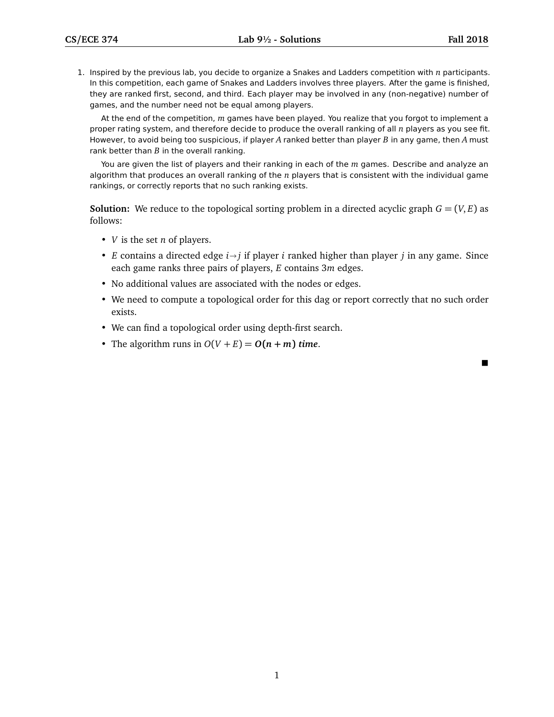$\blacksquare$ 

1. Inspired by the previous lab, you decide to organize a Snakes and Ladders competition with *n* participants. In this competition, each game of Snakes and Ladders involves three players. After the game is finished, they are ranked first, second, and third. Each player may be involved in any (non-negative) number of games, and the number need not be equal among players.

At the end of the competition, *m* games have been played. You realize that you forgot to implement a proper rating system, and therefore decide to produce the overall ranking of all *n* players as you see fit. However, to avoid being too suspicious, if player *A* ranked better than player *B* in any game, then *A* must rank better than *B* in the overall ranking.

You are given the list of players and their ranking in each of the *m* games. Describe and analyze an algorithm that produces an overall ranking of the *n* players that is consistent with the individual game rankings, or correctly reports that no such ranking exists.

**Solution:** We reduce to the topological sorting problem in a directed acyclic graph  $G = (V, E)$  as follows:

- *V* is the set *n* of players.
- *E* contains a directed edge  $i \rightarrow j$  if player *i* ranked higher than player *j* in any game. Since each game ranks three pairs of players, *E* contains 3*m* edges.
- No additional values are associated with the nodes or edges.
- We need to compute a topological order for this dag or report correctly that no such order exists.
- We can find a topological order using depth-first search.
- The algorithm runs in  $O(V + E) = O(n + m)$  *time.*